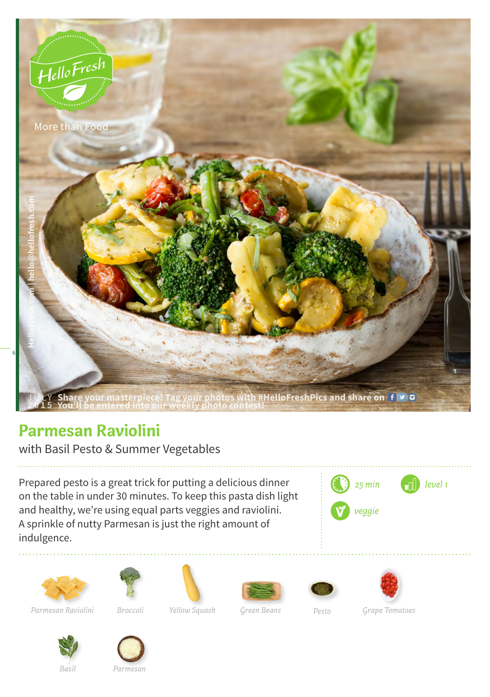

## **Parmesan Raviolini**

with Basil Pesto & Summer Vegetables

Prepared pesto is a great trick for putting a delicious dinner on the table in under 30 minutes. To keep this pasta dish light and healthy, we're using equal parts veggies and raviolini. A sprinkle of nutty Parmesan is just the right amount of indulgence.







*Parmesan Raviolini*











*Basil Parmesan*